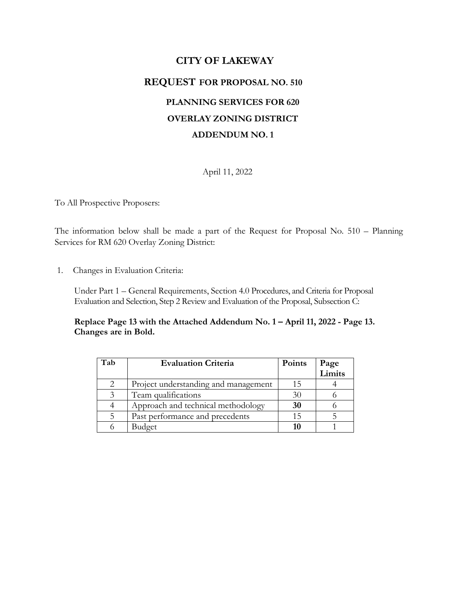# **CITY OF LAKEWAY REQUEST FOR PROPOSAL NO. 510 PLANNING SERVICES FOR 620 OVERLAY ZONING DISTRICT ADDENDUM NO. 1**

April 11, 2022

To All Prospective Proposers:

The information below shall be made a part of the Request for Proposal No. 510 – Planning Services for RM 620 Overlay Zoning District:

1. Changes in Evaluation Criteria:

Under Part 1 – General Requirements, Section 4.0 Procedures, and Criteria for Proposal Evaluation and Selection, Step 2 Review and Evaluation of the Proposal, Subsection C:

**Replace Page 13 with the Attached Addendum No. 1 – April 11, 2022 - Page 13. Changes are in Bold.**

| Tab | <b>Evaluation Criteria</b>           | Points | Page<br>Limits |
|-----|--------------------------------------|--------|----------------|
|     |                                      |        |                |
| 2   | Project understanding and management | ב 1    |                |
| 3   | Team qualifications                  | 30     |                |
|     | Approach and technical methodology   | 30     |                |
|     | Past performance and precedents      | 15     |                |
|     | Budget                               | 16     |                |